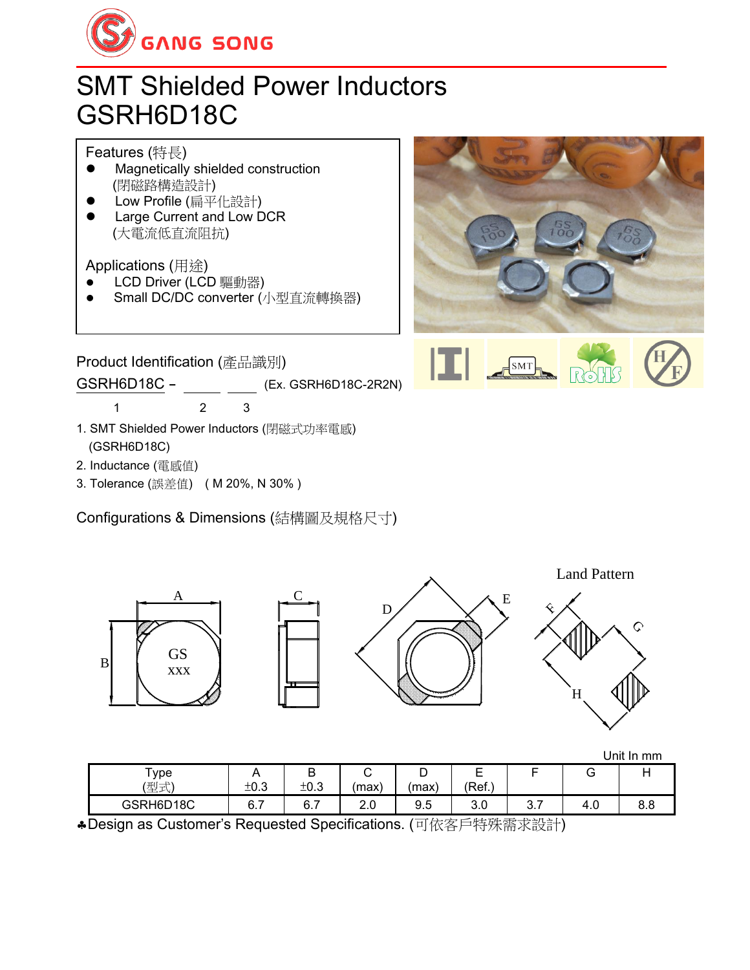

## SMT Shielded Power Inductors GSRH6D18C

Features (特長)

- ⚫ Magnetically shielded construction (閉磁路構造設計)
- ⚫ Low Profile (扁平化設計)
- ⚫ Large Current and Low DCR (大電流低直流阻抗)

Applications (用途)

- LCD Driver (LCD 驅動器)
- ⚫ Small DC/DC converter (小型直流轉換器)



 $SMT$ 

Product Identification (產品識別)

GSRH6D18C - (Ex. GSRH6D18C-2R2N)

1 2 3

- 1. SMT Shielded Power Inductors (閉磁式功率電感) (GSRH6D18C)
- 2. Inductance (電感值)
- 3. Tolerance (誤差值) ( M 20%, N 30% )

Configurations & Dimensions (結構圖及規格尺寸)



|             |          |      |            |       |            |      |     | <b>UIIII</b> III IIIII |
|-------------|----------|------|------------|-------|------------|------|-----|------------------------|
| ype         |          | ◡    | ັ          | ້     | ⊢<br>-     |      | ◡   |                        |
| (开门一)<br>生工 | ±0.3     | ±0.3 | (max)      | 'max) | (Ref.)     |      |     |                        |
| GSRH6D18C   | -<br>6.7 | 6.7  | ח ר<br>z.u | 9.5   | ח מ<br>v.v | ບ. ເ | 4.0 | o o<br>o.o             |

Design as Customer's Requested Specifications. (可依客戶特殊需求設計)